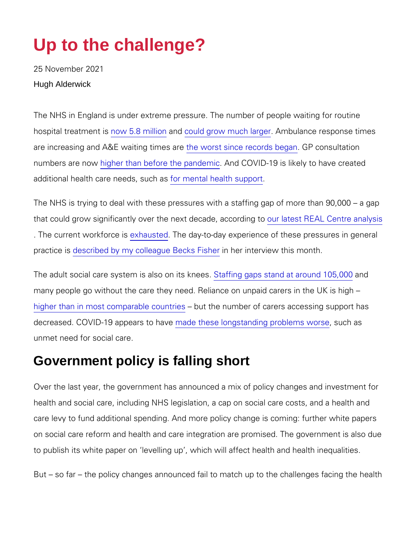# Up to the challenge?

25 November 2021 Hugh Alderwick

The NHS in England is under extreme pressure. The number of pe hospital treatmment t5 is midhidonuld grow much Almabgue ance response tim are increasing and A&E watheng odniontessinace records began altation numbers arehingohwer than before the A**panCi OnViD**-19 is likely to have c additional health care need or enstuad hhealth support

The NHS is trying to deal with these pressures with a staffing gap that could grow significantly over the neoxutr**deceste REAL Colantyre** oan . The current workfloaneteshe day-to-day experience of these press practic described by my colleague nBheks in Flies rhyoite w this month.

The adult social care system is $S$  balsfoon prograps skrostenes. It araonuchd 105, many people go without the care they need. Reliance on unpaid ca [higher than in most compa](https://www.oecd-ilibrary.org/sites/a80d9f62-en/index.html?itemId=/content/component/a80d9f62-en)rable the mumum bears of carers accessing support has number than in most comparable decreased. COVID-19 appopeares those seavior ng standing prosoulce mas worse unmet need for social care.

#### Government policy is falling short

Over the last year, the government has announced a mix of policy health and social care, including NHS legislation, a cap on social care levy to fund additional spending. And more policy change is on social care reform and health and care integration are promise to publish its white paper on levelling up, which will affect heal

But so far the policy changes announced fail to match up to th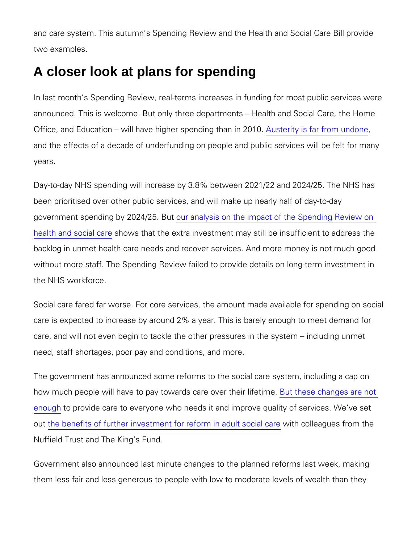and care system. This autumn s Spending Review and the Health two examples.

## A closer look at plans for spending

In last month s Spending Review, real-terms increases in funding announced. This is welcome. But only three departments Health Office, and Education will have higher Asupset a diitry gist fram if mp 2n0 1u0n.do and the effects of a decade of underfunding on people and public years.

Day-to-day NHS spending will increase by 3.8% between 2021/22. been prioritised over other public services, and will make up near government spending by 200r2 **4** h2a5lysBlaton the impact of the Spendir [health and so](http://alumni.health.org.uk/news-and-comment/charts-and-infographics/spending-review-2021-what-it-means-for-health-and-social-care)cshbwarth at the extra investment may still be insufficient to a denote the control to and the st backlog in unmet health care needs and recover services. And mo without more staff. The Spending Review failed to provide details the NHS workforce.

Social care fared far worse. For core services, the amount made care is expected to increase by around 2% a year. This is barely care, and will not even begin to tackle the other pressures in the need, staff shortages, poor pay and conditions, and more.

The government has announced some reforms to the social care s how much people will have to pay towards Bouatrehesser othhaening disfeatriene [enou](https://www.kingsfund.org.uk/sites/default/files/2021-10/value-investing-social-care-briefing.pdf)gtho provide care to everyone who needs it and improve qualit outhe benefits of further investment for refworm in crolal dagues of rading al Nuffield Trust and The King s Fund.

Government also announced last minute changes to the planned re them less fair and less generous to people with low to moderate I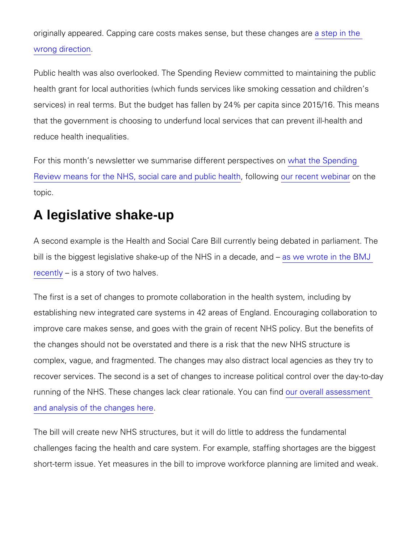originally appeared. Capping care costs makes seesiep buttheese c [wrong dire](http://alumni.health.org.uk/news-and-comment/news/last-minute-changes-to-social-care-reforms-are-a-step-in-the-wrong-direction)ction

Public health was also overlooked. The Spending Review committe health grant for local authorities (which funds services like smok services) in real terms. But the budget has fallen by 24% per cap that the government is choosing to underfund local services that reduce health inequalities.

For this month s newsletter we summarise dwiffeetrethie peeprespection estimated in the Sepending of the Sepending of the Sepending of the Sepending of the Sepending of the Sepending of the Sepending of the Sepending of th [Review means for the NHS, social c](http://alumni.health.org.uk/news-and-comment/newsletter-features/perspectives-on-the-spending-review),afella conwobiupunguibelic cent mite and onlinibate topic.

#### A legislative shake-up

A second example is the Health and Social Care Bill currently being the straing in parallel in an area in para bill is the biggest legislative shake-up of tahse whe H  $\circ$  riontea idetchaed  $\circledast$ , MaJ [recen](https://www.bmj.com/content/374/bmj.n1767)tly's a story of two halves.

The first is a set of changes to promote collaboration in the health establishing new integrated care systems in 42 areas of England. improve care makes sense, and goes with the grain of recent NHS the changes should not be overstated and there is a risk that the complex, vague, and fragmented. The changes may also distract I recover services. The second is a set of changes to increase poli running of the NHS. These changes lack cleaur roavieor a bileas of can find on the second of the NHS. [and analysis of the c](http://alumni.health.org.uk/what-we-do/health-and-care-bill)hanges here

The bill will create new NHS structures, but it will do little to add challenges facing the health and care system. For example, staffi short-term issue. Yet measures in the bill to improve workforce p